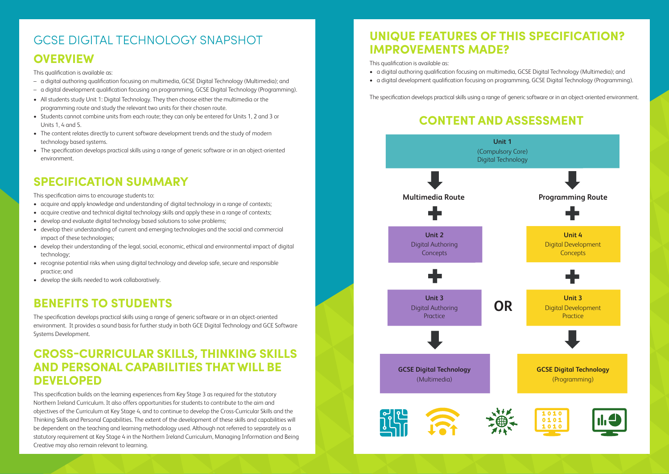#### **OVERVIEW**

This qualification is available as:

- a digital authoring qualification focusing on multimedia, GCSE Digital Technology (Multimedia); and
- a digital development qualification focusing on programming, GCSE Digital Technology (Programming).
- All students study Unit 1: Digital Technology. They then choose either the multimedia or the programming route and study the relevant two units for their chosen route.
- Students cannot combine units from each route; they can only be entered for Units 1, 2 and 3 or Units 1, 4 and 5.
- The content relates directly to current software development trends and the study of modern technology based systems.
- The specification develops practical skills using a range of generic software or in an object-oriented environment.

#### **SPECIFICATION SUMMARY**

This specification aims to encourage students to:

- acquire and apply knowledge and understanding of digital technology in a range of contexts;
- acquire creative and technical digital technology skills and apply these in a range of contexts;
- develop and evaluate digital technology based solutions to solve problems;
- develop their understanding of current and emerging technologies and the social and commercial impact of these technologies;
- develop their understanding of the legal, social, economic, ethical and environmental impact of digital technology;
- recognise potential risks when using digital technology and develop safe, secure and responsible practice; and
- develop the skills needed to work collaboratively.

#### **BENEFITS TO STUDENTS**

The specification develops practical skills using a range of generic software or in an object-oriented environment. It provides a sound basis for further study in both GCE Digital Technology and GCE Software Systems Development.

#### **CROSS-CURRICULAR SKILLS, THINKING SKILLS AND PERSONAL CAPABILITIES THAT WILL BE DEVELOPED**

This specification builds on the learning experiences from Key Stage 3 as required for the statutory Northern Ireland Curriculum. It also offers opportunities for students to contribute to the aim and objectives of the Curriculum at Key Stage 4, and to continue to develop the Cross-Curricular Skills and the Thinking Skills and Personal Capabilities. The extent of the development of these skills and capabilities will be dependent on the teaching and learning methodology used. Although not referred to separately as a statutory requirement at Key Stage 4 in the Northern Ireland Curriculum, Managing Information and Being Creative may also remain relevant to learning.

#### **UNIQUE FEATURES OF THIS SPECIFICATION? IMPROVEMENTS MADE?**

This qualification is available as:

- a digital authoring qualification focusing on multimedia, GCSE Digital Technology (Multimedia); and
- 

• a digital development qualification focusing on programming, GCSE Digital Technology (Programming).

The specification develops practical skills using a range of generic software or in an object-oriented environment.



#### GCSE DIGITAL TECHNOLOGY SNAPSHOT